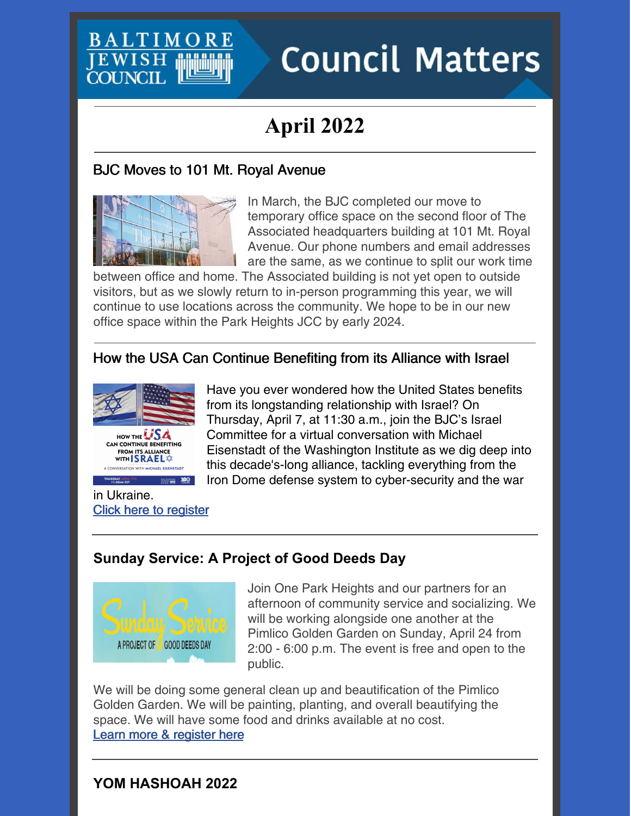

# **Council Matters**

## **April 2022**

#### BJC Moves to 101 Mt. Royal Avenue



In March, the BJC completed our move to temporary office space on the second floor of The Associated headquarters building at 101 Mt. Royal Avenue. Our phone numbers and email addresses are the same, as we continue to split our work time

between office and home. The Associated building is not yet open to outside visitors, but as we slowly return to in-person programming this year, we will continue to use locations across the community. We hope to be in our new office space within the Park Heights JCC by early 2024.

#### How the USA Can Continue Benefiting from its Alliance with Israel





Have you ever wondered how the United States benefits from its longstanding relationship with Israel? On Thursday, April 7, at 11:30 a.m., join the BJC's Israel Committee for a virtual conversation with Michael Eisenstadt of the Washington Institute as we dig deep into this decade's-long alliance, tackling everything from the Iron Dome defense system to cyber-security and the war

in Ukraine. Click here to [register](https://jcfb.zoom.us/webinar/register/WN_DAY-LeP8Tj-_AC5Jumx36Q)

#### **Sunday Service: A Project of Good Deeds Day**



Join One Park Heights and our partners for an afternoon of community service and socializing. We will be working alongside one another at the Pimlico Golden Garden on Sunday, April 24 from 2:00 - 6:00 p.m. The event is free and open to the public.

We will be doing some general clean up and beautification of the Pimlico Golden Garden. We will be painting, planting, and overall beautifying the space. We will have some food and drinks available at no cost. Learn more & [register](https://events.idonate.com/sundayservice) here

#### **YOM HASHOAH 2022**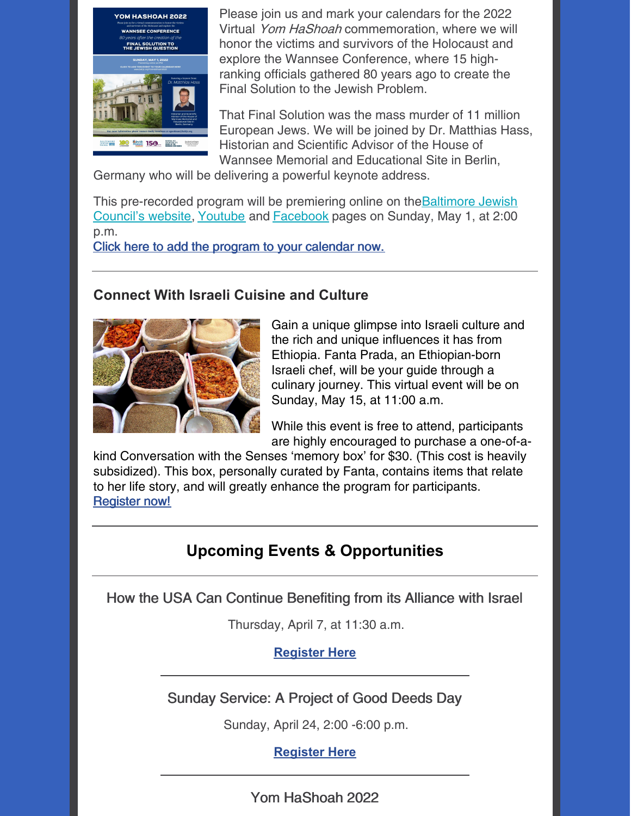

Please join us and mark your calendars for the 2022 Virtual Yom HaShoah commemoration, where we will honor the victims and survivors of the Holocaust and explore the Wannsee Conference, where 15 highranking officials gathered 80 years ago to create the Final Solution to the Jewish Problem.

That Final Solution was the mass murder of 11 million European Jews. We will be joined by Dr. Matthias Hass, Historian and Scientific Advisor of the House of Wannsee Memorial and Educational Site in Berlin,

Germany who will be delivering a powerful keynote address.

This [pre-recorded](https://www.baltjc.org/) program will be premiering online on the **Baltimore Jewish** Council's website, [Youtube](https://www.youtube.com/channel/UC37a6vp9nQepzh0I5E4N5ag/videos) and [Facebook](https://www.facebook.com/baltimorejewishcouncil) pages on Sunday, May 1, at 2:00 p.m.

Click here to add the program to your [calendar](https://www.baltjc.org/event/yom-hashoah-2022-virtual-experience-the-land-we-always-dreamed-of-longing-for-eretz-yisrael-during-the-holocaust/) now.

#### **Connect With Israeli Cuisine and Culture**



Gain a unique glimpse into Israeli culture and the rich and unique influences it has from Ethiopia. Fanta Prada, an Ethiopian-born Israeli chef, will be your guide through a culinary journey. This virtual event will be on Sunday, May 15, at 11:00 a.m.

While this event is free to attend, participants are highly encouraged to purchase a one-of-a-

kind Conversation with the Senses 'memory box' for \$30. (This cost is heavily subsidized). This box, personally curated by Fanta, contains items that relate to her life story, and will greatly enhance the program for participants. **[Register](https://events.idonate.com/senses) now!** 

### **Upcoming Events & Opportunities**

How the USA Can Continue Benefiting from its Alliance with Israel

Thursday, April 7, at 11:30 a.m.

#### **[Register](https://jcfb.zoom.us/webinar/register/WN_DAY-LeP8Tj-_AC5Jumx36Q) Here**

Sunday Service: A Project of Good Deeds Day

Sunday, April 24, 2:00 -6:00 p.m.

**[Register](https://events.idonate.com/sundayservice) Here**

Yom HaShoah 2022